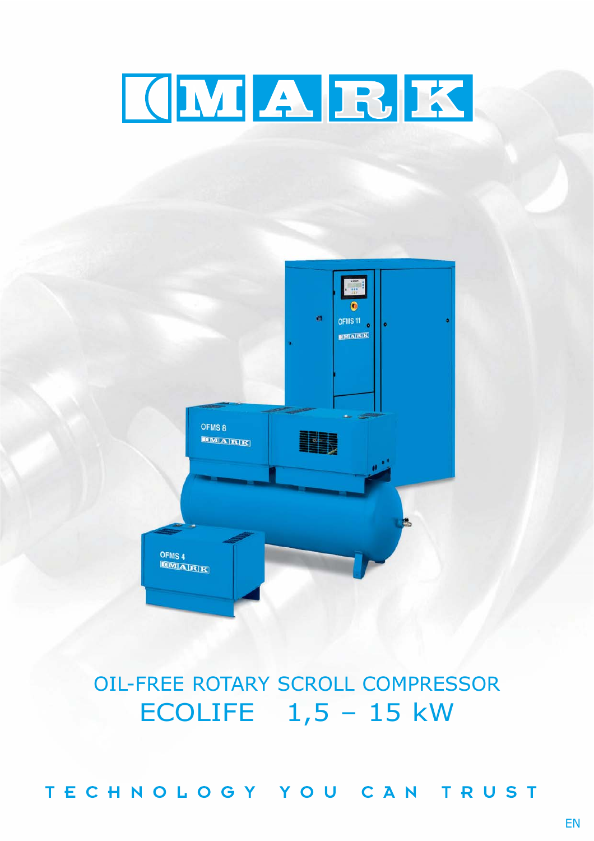# KNABIX



OIL-FREE ROTARY SCROLL COMPRESSOR ECOLIFE  $1,5 - 15$  kW

TECHNOLOGY YOU CAN TRUST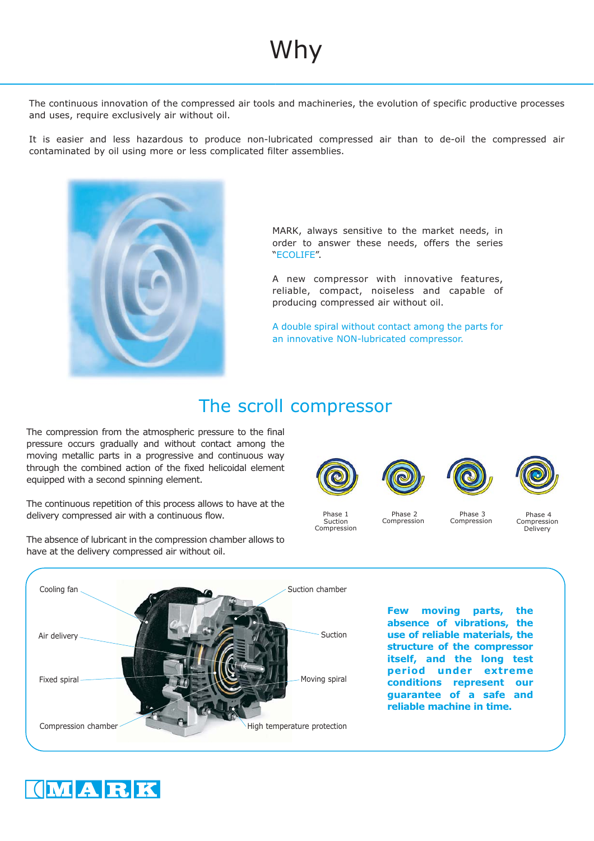# Why

The continuous innovation of the compressed air tools and machineries, the evolution of specific productive processes and uses, require exclusively air without oil.

It is easier and less hazardous to produce non-lubricated compressed air than to de-oil the compressed air contaminated by oil using more or less complicated filter assemblies.



MARK, always sensitive to the market needs, in order to answer these needs, offers the series "ECOLIFE".

A new compressor with innovative features, reliable, compact, noiseless and capable of producing compressed air without oil.

A double spiral without contact among the parts for an innovative NON-lubricated compressor.

## The scroll compressor

The compression from the atmospheric pressure to the final pressure occurs gradually and without contact among the moving metallic parts in a progressive and continuous way through the combined action of the fixed helicoidal element equipped with a second spinning element.

The continuous repetition of this process allows to have at the delivery compressed air with a continuous flow.



Phase 1 Suction Compression



Phase 2 Compression



Phase 3 Compression



Phase 4 Compression Delivery

**Few moving parts, the absence of vibrations, the use of reliable materials, the structure of the compressor itself, and the long test period under extreme conditions represent our guarantee of a safe and reliable machine in time.** Cooling fan Suction High temperature protection Air delivery Compression chamber Fixed spiral Moving spiral Moving spiral Suction chamber



The absence of lubricant in the compression chamber allows to have at the delivery compressed air without oil.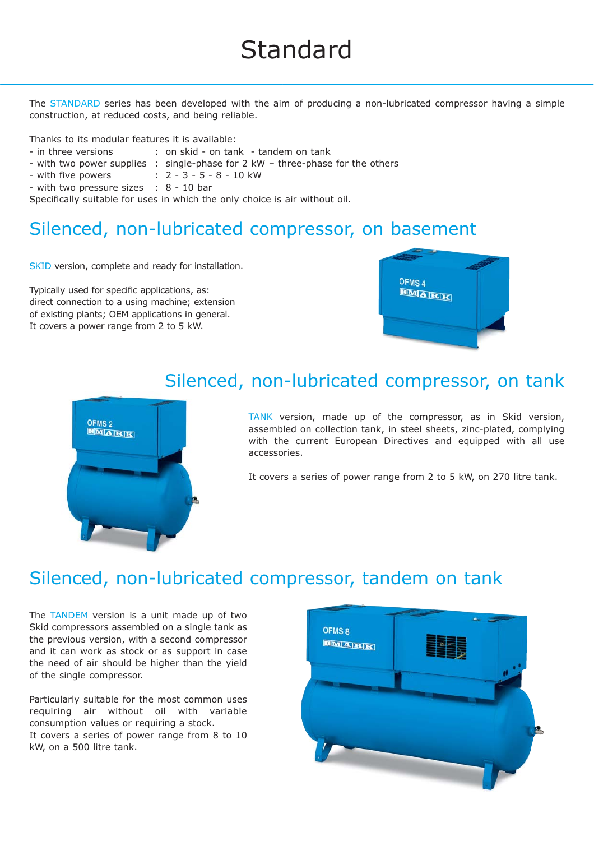The STANDARD series has been developed with the aim of producing a non-lubricated compressor having a simple construction, at reduced costs, and being reliable.

Thanks to its modular features it is available:

- in three versions : on skid on tank tandem on tank
- with two power supplies : single-phase for 2 kW three-phase for the others
- 
- with five powers : 2 3 5 8 10 kW
- with two pressure sizes : 8 10 bar

Specifically suitable for uses in which the only choice is air without oil.

# Silenced, non-lubricated compressor, on basement

SKID version, complete and ready for installation.

Typically used for specific applications, as: direct connection to a using machine; extension of existing plants; OEM applications in general. It covers a power range from 2 to 5 kW.





## Silenced, non-lubricated compressor, on tank

TANK version, made up of the compressor, as in Skid version, assembled on collection tank, in steel sheets, zinc-plated, complying with the current European Directives and equipped with all use accessories.

It covers a series of power range from 2 to 5 kW, on 270 litre tank.

# Silenced, non-lubricated compressor, tandem on tank

The TANDEM version is a unit made up of two Skid compressors assembled on a single tank as the previous version, with a second compressor and it can work as stock or as support in case the need of air should be higher than the yield of the single compressor.

Particularly suitable for the most common uses requiring air without oil with variable consumption values or requiring a stock. It covers a series of power range from 8 to 10 kW, on a 500 litre tank.

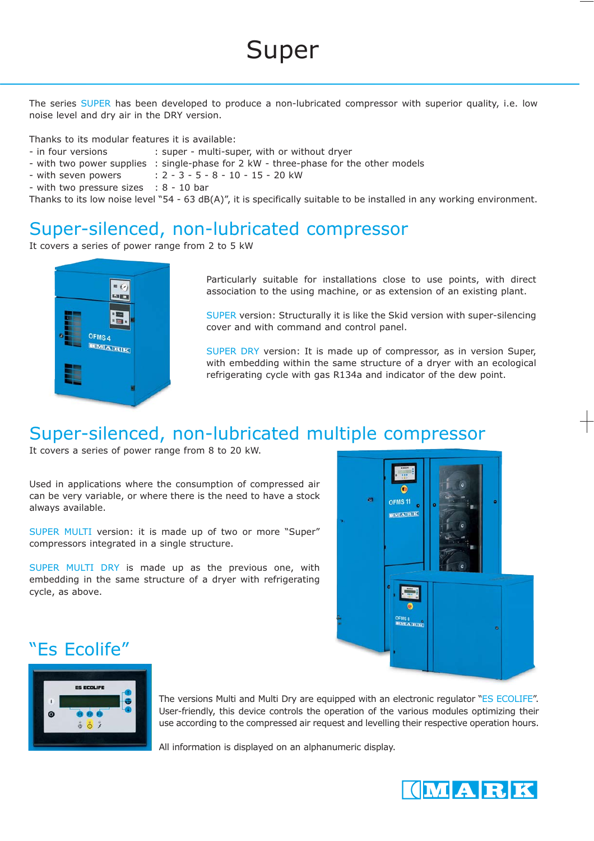The series SUPER has been developed to produce a non-lubricated compressor with superior quality, i.e. low noise level and dry air in the DRY version.

Thanks to its modular features it is available:

- in four versions : super - multi-super, with or without dryer

- with two power supplies : single-phase for 2 kW - three-phase for the other models

- with seven powers : 2 - 3 - 5 - 8 - 10 - 15 - 20 kW

- with two pressure sizes : 8 - 10 bar

Thanks to its low noise level "54 - 63 dB(A)", it is specifically suitable to be installed in any working environment.

#### Super-silenced, non-lubricated compressor

It covers a series of power range from 2 to 5 kW



Particularly suitable for installations close to use points, with direct association to the using machine, or as extension of an existing plant.

SUPER version: Structurally it is like the Skid version with super-silencing cover and with command and control panel.

SUPER DRY version: It is made up of compressor, as in version Super, with embedding within the same structure of a dryer with an ecological refrigerating cycle with gas R134a and indicator of the dew point.

#### Super-silenced, non-lubricated multiple compressor

It covers a series of power range from 8 to 20 kW.

Used in applications where the consumption of compressed air can be very variable, or where there is the need to have a stock always available.

SUPER MULTI version: it is made up of two or more "Super" compressors integrated in a single structure.

SUPER MULTI DRY is made up as the previous one, with embedding in the same structure of a dryer with refrigerating cycle, as above.



#### "Es Ecolife"



The versions Multi and Multi Dry are equipped with an electronic regulator "ES ECOLIFE". User-friendly, this device controls the operation of the various modules optimizing their use according to the compressed air request and levelling their respective operation hours.

All information is displayed on an alphanumeric display.

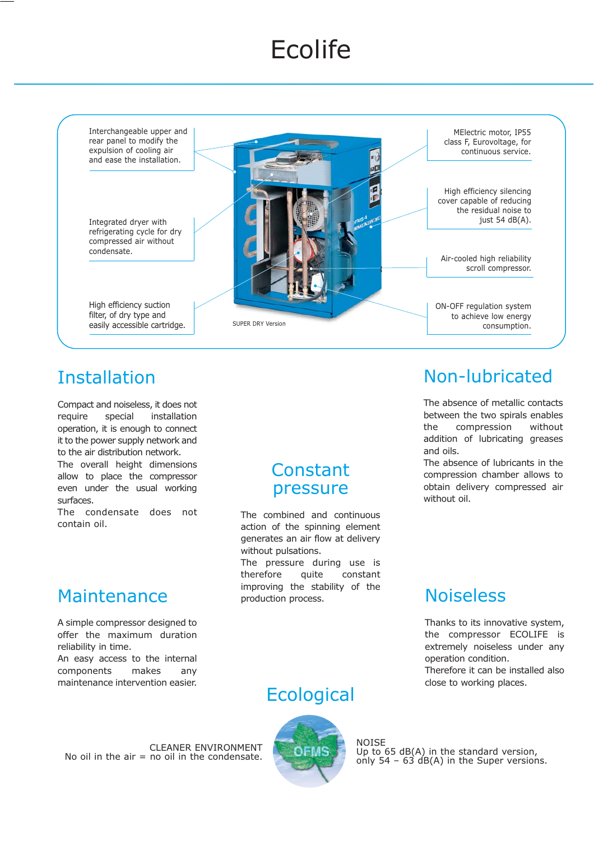# **Ecolife**



# Installation

Compact and noiseless, it does not require special installation operation, it is enough to connect it to the power supply network and to the air distribution network.

The overall height dimensions allow to place the compressor even under the usual working surfaces.

The condensate does not contain oil.

## Maintenance

A simple compressor designed to offer the maximum duration reliability in time. An easy access to the internal components makes any maintenance intervention easier.

#### Constant pressure

The combined and continuous action of the spinning element generates an air flow at delivery without pulsations.

The pressure during use is therefore quite constant improving the stability of the production process.

# Non-lubricated

The absence of metallic contacts between the two spirals enables the compression without addition of lubricating greases and oils.

The absence of lubricants in the compression chamber allows to obtain delivery compressed air without oil.

# Noiseless

Thanks to its innovative system, the compressor ECOLIFE is extremely noiseless under any operation condition. Therefore it can be installed also close to working places.

# **Ecological**



NOISE Up to 65 dB(A) in the standard version, only 54 – 63 dB(A) in the Super versions.

CLEANER ENVIRONMENT No oil in the  $air = no$  oil in the condensate.